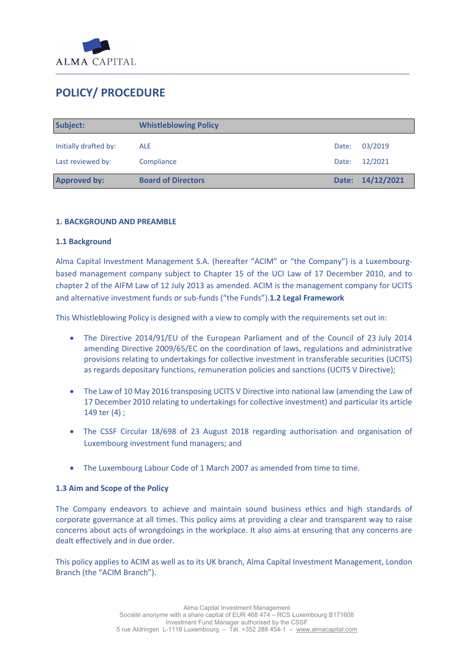

# **POLICY/ PROCEDURE**

| Subject:              | <b>Whistleblowing Policy</b> |       |                  |
|-----------------------|------------------------------|-------|------------------|
| Initially drafted by: | <b>ALE</b>                   | Date: | 03/2019          |
| Last reviewed by:     | Compliance                   | Date: | 12/2021          |
| <b>Approved by:</b>   | <b>Board of Directors</b>    |       | Date: 14/12/2021 |

### **1. BACKGROUND AND PREAMBLE**

#### **1.1 Background**

Alma Capital Investment Management S.A. (hereafter "ACIM" or "the Company") is a Luxembourgbased management company subject to Chapter 15 of the UCI Law of 17 December 2010, and to chapter 2 of the AIFM Law of 12 July 2013 as amended. ACIM is the management company for UCITS and alternative investment funds or sub-funds ("the Funds").**1.2 Legal Framework**

This Whistleblowing Policy is designed with a view to comply with the requirements set out in:

- The Directive 2014/91/EU of the European Parliament and of the Council of 23 July 2014 amending Directive 2009/65/EC on the coordination of laws, regulations and administrative provisions relating to undertakings for collective investment in transferable securities (UCITS) as regards depositary functions, remuneration policies and sanctions (UCITS V Directive);
- The Law of 10 May 2016 transposing UCITS V Directive into national law (amending the Law of 17 December 2010 relating to undertakings for collective investment) and particular its article 149 ter (4) ;
- The CSSF Circular 18/698 of 23 August 2018 regarding authorisation and organisation of Luxembourg investment fund managers; and
- The Luxembourg Labour Code of 1 March 2007 as amended from time to time.

#### **1.3 Aim and Scope of the Policy**

The Company endeavors to achieve and maintain sound business ethics and high standards of corporate governance at all times. This policy aims at providing a clear and transparent way to raise concerns about acts of wrongdoings in the workplace. It also aims at ensuring that any concerns are dealt effectively and in due order.

This policy applies to ACIM as well as to its UK branch, Alma Capital Investment Management, London Branch (the "ACIM Branch").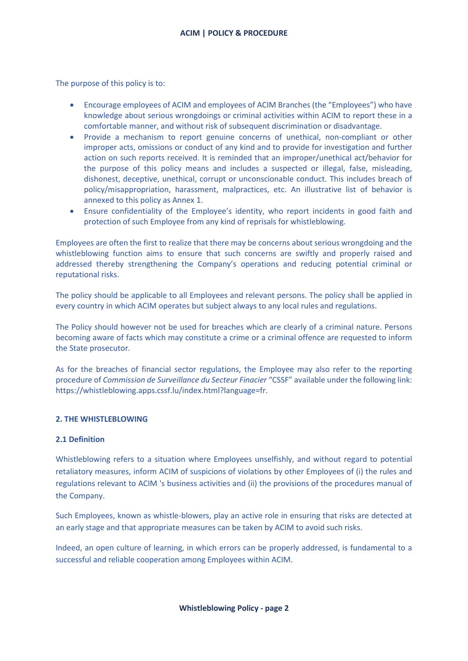The purpose of this policy is to:

- Encourage employees of ACIM and employees of ACIM Branches (the "Employees") who have knowledge about serious wrongdoings or criminal activities within ACIM to report these in a comfortable manner, and without risk of subsequent discrimination or disadvantage.
- Provide a mechanism to report genuine concerns of unethical, non-compliant or other improper acts, omissions or conduct of any kind and to provide for investigation and further action on such reports received. It is reminded that an improper/unethical act/behavior for the purpose of this policy means and includes a suspected or illegal, false, misleading, dishonest, deceptive, unethical, corrupt or unconscionable conduct. This includes breach of policy/misappropriation, harassment, malpractices, etc. An illustrative list of behavior is annexed to this policy as Annex 1.
- Ensure confidentiality of the Employee's identity, who report incidents in good faith and protection of such Employee from any kind of reprisals for whistleblowing.

Employees are often the first to realize that there may be concerns about serious wrongdoing and the whistleblowing function aims to ensure that such concerns are swiftly and properly raised and addressed thereby strengthening the Company's operations and reducing potential criminal or reputational risks.

The policy should be applicable to all Employees and relevant persons. The policy shall be applied in every country in which ACIM operates but subject always to any local rules and regulations.

The Policy should however not be used for breaches which are clearly of a criminal nature. Persons becoming aware of facts which may constitute a crime or a criminal offence are requested to inform the State prosecutor.

As for the breaches of financial sector regulations, the Employee may also refer to the reporting procedure of *Commission de Surveillance du Secteur Finacier* "CSSF" available under the following link: https://whistleblowing.apps.cssf.lu/index.html?language=fr.

#### **2. THE WHISTLEBLOWING**

#### **2.1 Definition**

Whistleblowing refers to a situation where Employees unselfishly, and without regard to potential retaliatory measures, inform ACIM of suspicions of violations by other Employees of (i) the rules and regulations relevant to ACIM 's business activities and (ii) the provisions of the procedures manual of the Company.

Such Employees, known as whistle-blowers, play an active role in ensuring that risks are detected at an early stage and that appropriate measures can be taken by ACIM to avoid such risks.

Indeed, an open culture of learning, in which errors can be properly addressed, is fundamental to a successful and reliable cooperation among Employees within ACIM.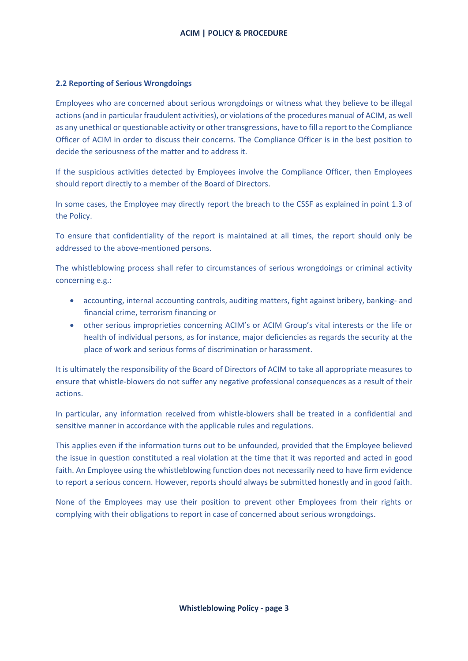#### **2.2 Reporting of Serious Wrongdoings**

Employees who are concerned about serious wrongdoings or witness what they believe to be illegal actions (and in particular fraudulent activities), or violations of the procedures manual of ACIM, as well as any unethical or questionable activity or other transgressions, have to fill a report to the Compliance Officer of ACIM in order to discuss their concerns. The Compliance Officer is in the best position to decide the seriousness of the matter and to address it.

If the suspicious activities detected by Employees involve the Compliance Officer, then Employees should report directly to a member of the Board of Directors.

In some cases, the Employee may directly report the breach to the CSSF as explained in point 1.3 of the Policy.

To ensure that confidentiality of the report is maintained at all times, the report should only be addressed to the above-mentioned persons.

The whistleblowing process shall refer to circumstances of serious wrongdoings or criminal activity concerning e.g.:

- accounting, internal accounting controls, auditing matters, fight against bribery, banking- and financial crime, terrorism financing or
- other serious improprieties concerning ACIM's or ACIM Group's vital interests or the life or health of individual persons, as for instance, major deficiencies as regards the security at the place of work and serious forms of discrimination or harassment.

It is ultimately the responsibility of the Board of Directors of ACIM to take all appropriate measures to ensure that whistle-blowers do not suffer any negative professional consequences as a result of their actions.

In particular, any information received from whistle-blowers shall be treated in a confidential and sensitive manner in accordance with the applicable rules and regulations.

This applies even if the information turns out to be unfounded, provided that the Employee believed the issue in question constituted a real violation at the time that it was reported and acted in good faith. An Employee using the whistleblowing function does not necessarily need to have firm evidence to report a serious concern. However, reports should always be submitted honestly and in good faith.

None of the Employees may use their position to prevent other Employees from their rights or complying with their obligations to report in case of concerned about serious wrongdoings.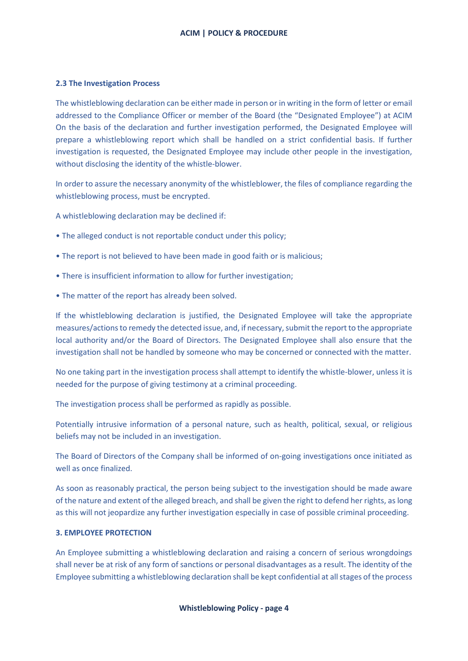#### **2.3 The Investigation Process**

The whistleblowing declaration can be either made in person or in writing in the form of letter or email addressed to the Compliance Officer or member of the Board (the "Designated Employee") at ACIM On the basis of the declaration and further investigation performed, the Designated Employee will prepare a whistleblowing report which shall be handled on a strict confidential basis. If further investigation is requested, the Designated Employee may include other people in the investigation, without disclosing the identity of the whistle-blower.

In order to assure the necessary anonymity of the whistleblower, the files of compliance regarding the whistleblowing process, must be encrypted.

A whistleblowing declaration may be declined if:

- The alleged conduct is not reportable conduct under this policy;
- The report is not believed to have been made in good faith or is malicious;
- There is insufficient information to allow for further investigation;
- The matter of the report has already been solved.

If the whistleblowing declaration is justified, the Designated Employee will take the appropriate measures/actions to remedy the detected issue, and, if necessary, submit the report to the appropriate local authority and/or the Board of Directors. The Designated Employee shall also ensure that the investigation shall not be handled by someone who may be concerned or connected with the matter.

No one taking part in the investigation process shall attempt to identify the whistle-blower, unless it is needed for the purpose of giving testimony at a criminal proceeding.

The investigation process shall be performed as rapidly as possible.

Potentially intrusive information of a personal nature, such as health, political, sexual, or religious beliefs may not be included in an investigation.

The Board of Directors of the Company shall be informed of on-going investigations once initiated as well as once finalized.

As soon as reasonably practical, the person being subject to the investigation should be made aware of the nature and extent of the alleged breach, and shall be given the right to defend her rights, as long as this will not jeopardize any further investigation especially in case of possible criminal proceeding.

#### **3. EMPLOYEE PROTECTION**

An Employee submitting a whistleblowing declaration and raising a concern of serious wrongdoings shall never be at risk of any form of sanctions or personal disadvantages as a result. The identity of the Employee submitting a whistleblowing declaration shall be kept confidential at all stages of the process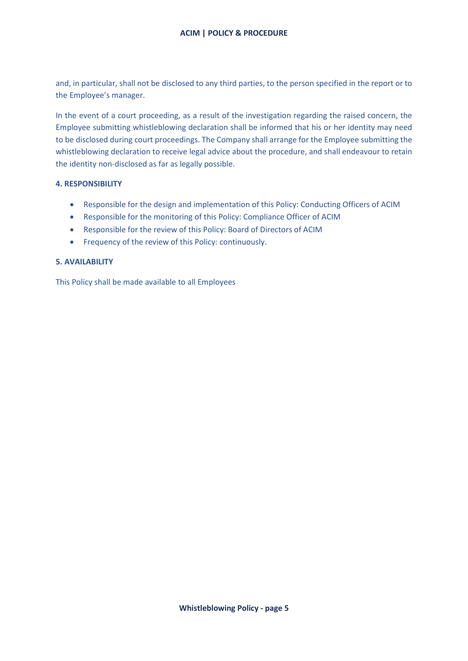and, in particular, shall not be disclosed to any third parties, to the person specified in the report or to the Employee's manager.

In the event of a court proceeding, as a result of the investigation regarding the raised concern, the Employee submitting whistleblowing declaration shall be informed that his or her identity may need to be disclosed during court proceedings. The Company shall arrange for the Employee submitting the whistleblowing declaration to receive legal advice about the procedure, and shall endeavour to retain the identity non-disclosed as far as legally possible.

## **4. RESPONSIBILITY**

- Responsible for the design and implementation of this Policy: Conducting Officers of ACIM
- Responsible for the monitoring of this Policy: Compliance Officer of ACIM
- Responsible for the review of this Policy: Board of Directors of ACIM
- Frequency of the review of this Policy: continuously.

### **5. AVAILABILITY**

This Policy shall be made available to all Employees